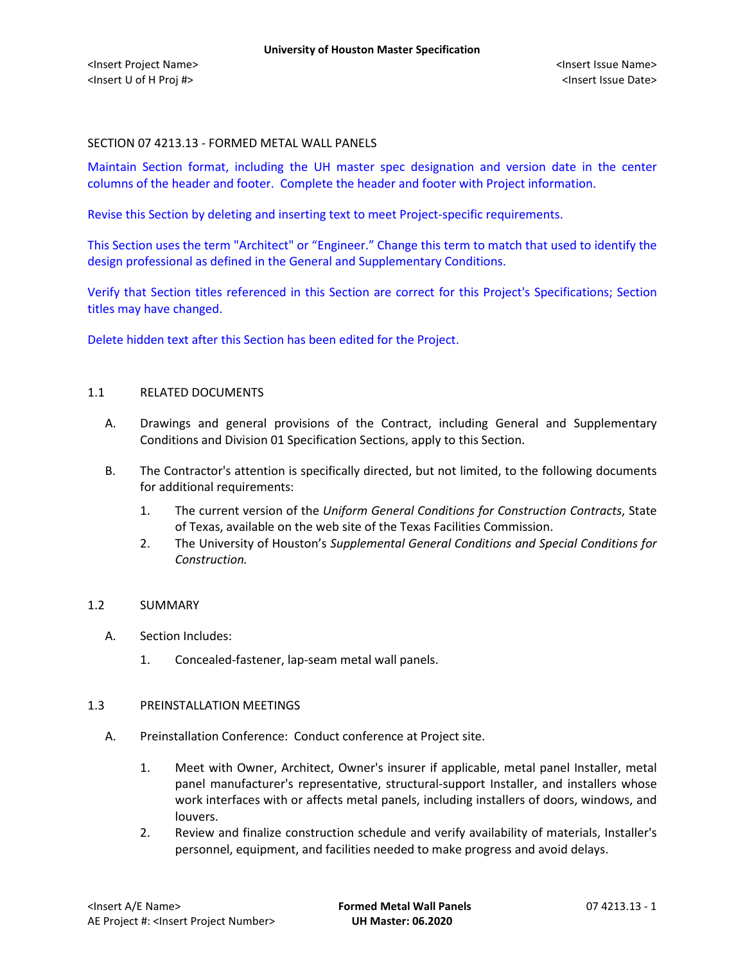### SECTION 07 4213.13 - FORMED METAL WALL PANELS

Maintain Section format, including the UH master spec designation and version date in the center columns of the header and footer. Complete the header and footer with Project information.

Revise this Section by deleting and inserting text to meet Project-specific requirements.

This Section uses the term "Architect" or "Engineer." Change this term to match that used to identify the design professional as defined in the General and Supplementary Conditions.

Verify that Section titles referenced in this Section are correct for this Project's Specifications; Section titles may have changed.

Delete hidden text after this Section has been edited for the Project.

#### 1.1 RELATED DOCUMENTS

- A. Drawings and general provisions of the Contract, including General and Supplementary Conditions and Division 01 Specification Sections, apply to this Section.
- B. The Contractor's attention is specifically directed, but not limited, to the following documents for additional requirements:
	- 1. The current version of the *Uniform General Conditions for Construction Contracts*, State of Texas, available on the web site of the Texas Facilities Commission.
	- 2. The University of Houston's *Supplemental General Conditions and Special Conditions for Construction.*

#### 1.2 SUMMARY

- A. Section Includes:
	- 1. Concealed-fastener, lap-seam metal wall panels.

### 1.3 PREINSTALLATION MEETINGS

- A. Preinstallation Conference: Conduct conference at Project site.
	- 1. Meet with Owner, Architect, Owner's insurer if applicable, metal panel Installer, metal panel manufacturer's representative, structural-support Installer, and installers whose work interfaces with or affects metal panels, including installers of doors, windows, and louvers.
	- 2. Review and finalize construction schedule and verify availability of materials, Installer's personnel, equipment, and facilities needed to make progress and avoid delays.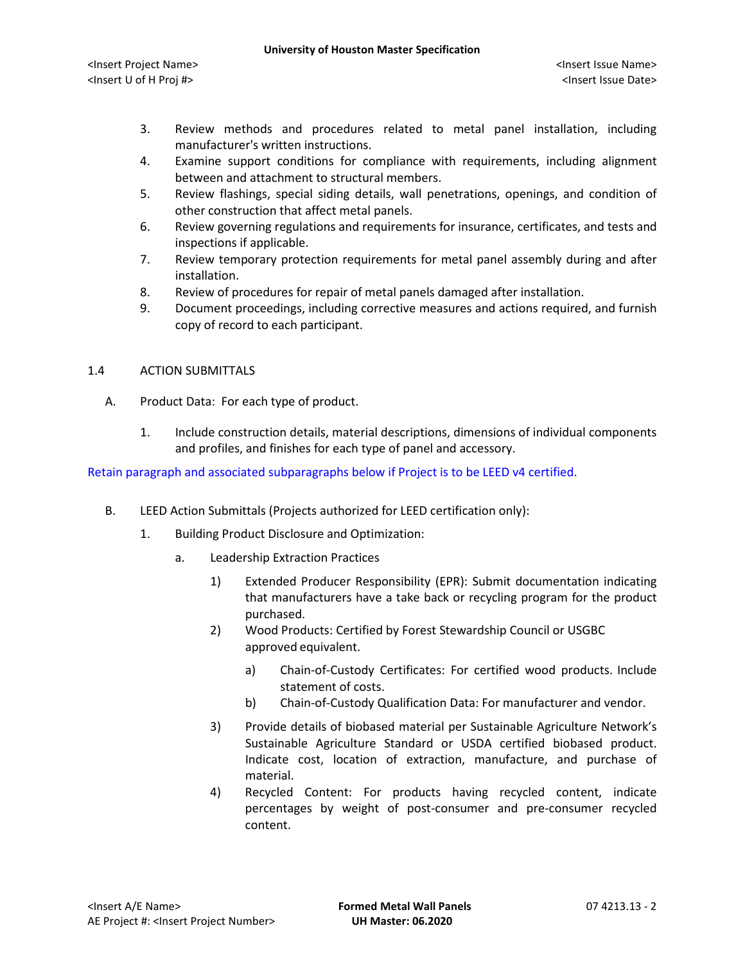- 3. Review methods and procedures related to metal panel installation, including manufacturer's written instructions.
- 4. Examine support conditions for compliance with requirements, including alignment between and attachment to structural members.
- 5. Review flashings, special siding details, wall penetrations, openings, and condition of other construction that affect metal panels.
- 6. Review governing regulations and requirements for insurance, certificates, and tests and inspections if applicable.
- 7. Review temporary protection requirements for metal panel assembly during and after installation.
- 8. Review of procedures for repair of metal panels damaged after installation.
- 9. Document proceedings, including corrective measures and actions required, and furnish copy of record to each participant.

## 1.4 ACTION SUBMITTALS

- A. Product Data: For each type of product.
	- 1. Include construction details, material descriptions, dimensions of individual components and profiles, and finishes for each type of panel and accessory.

# Retain paragraph and associated subparagraphs below if Project is to be LEED v4 certified.

- B. LEED Action Submittals (Projects authorized for LEED certification only):
	- 1. Building Product Disclosure and Optimization:
		- a. Leadership Extraction Practices
			- 1) Extended Producer Responsibility (EPR): Submit documentation indicating that manufacturers have a take back or recycling program for the product purchased.
			- 2) Wood Products: Certified by Forest Stewardship Council or USGBC approved equivalent.
				- a) [Chain-of-Custody Certificates:](http://www.arcomnet.com/sustainable_design.aspx?topic=146) For certified wood products. Include statement of costs.
				- b) [Chain-of-Custody Qualification Data:](http://www.arcomnet.com/sustainable_design.aspx?topic=148) For manufacturer and vendor.
			- 3) Provide details of biobased material per Sustainable Agriculture Network's Sustainable Agriculture Standard or USDA certified biobased product. Indicate cost, location of extraction, manufacture, and purchase of material.
			- 4) Recycled Content: For products having recycled content, indicate percentages by weight of post-consumer and pre-consumer recycled content.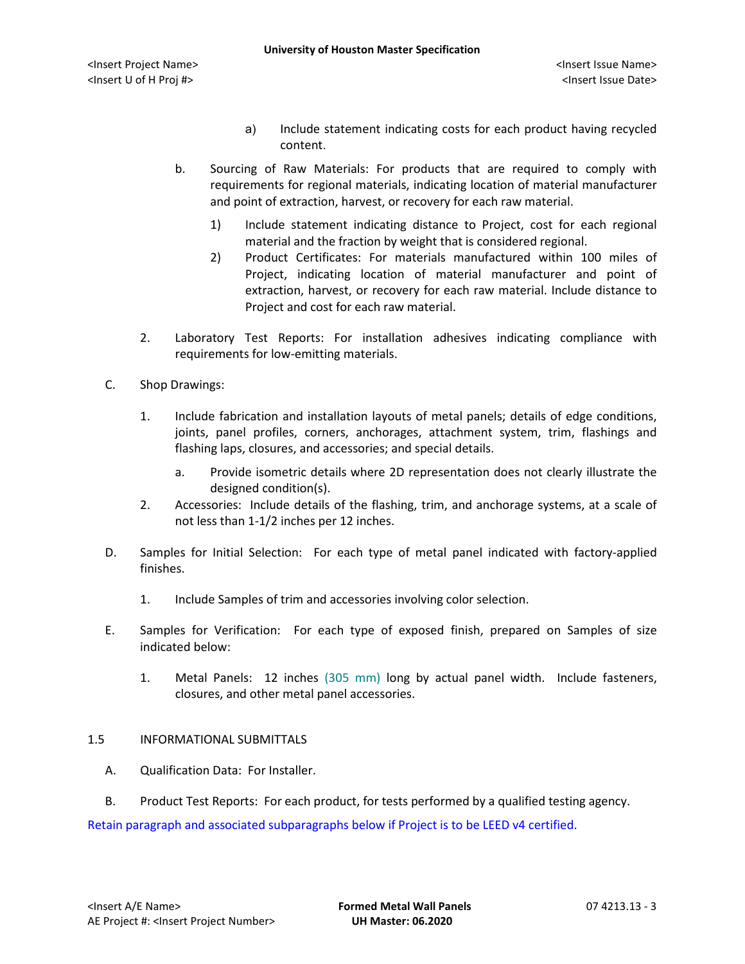- a) Include statement indicating costs for each product having recycled content.
- b. Sourcing of Raw Materials: For products that are required to comply with requirements for regional materials, indicating location of material manufacturer and point of extraction, harvest, or recovery for each raw material.
	- 1) Include statement indicating distance to Project, cost for each regional material and the fraction by weight that is considered regional.
	- 2) Product Certificates: For materials manufactured within 100 miles of Project, indicating location of material manufacturer and point of extraction, harvest, or recovery for each raw material. Include distance to Project and cost for each raw material.
- 2. Laboratory Test Reports: For installation adhesives indicating compliance with requirements for low-emitting materials.
- C. Shop Drawings:
	- 1. Include fabrication and installation layouts of metal panels; details of edge conditions, joints, panel profiles, corners, anchorages, attachment system, trim, flashings and flashing laps, closures, and accessories; and special details.
		- a. Provide isometric details where 2D representation does not clearly illustrate the designed condition(s).
	- 2. Accessories: Include details of the flashing, trim, and anchorage systems, at a scale of not less than 1-1/2 inches per 12 inches.
- D. Samples for Initial Selection: For each type of metal panel indicated with factory-applied finishes.
	- 1. Include Samples of trim and accessories involving color selection.
- E. Samples for Verification: For each type of exposed finish, prepared on Samples of size indicated below:
	- 1. Metal Panels: 12 inches (305 mm) long by actual panel width. Include fasteners, closures, and other metal panel accessories.

## 1.5 INFORMATIONAL SUBMITTALS

- A. Qualification Data: For Installer.
- B. Product Test Reports: For each product, for tests performed by a qualified testing agency.

Retain paragraph and associated subparagraphs below if Project is to be LEED v4 certified.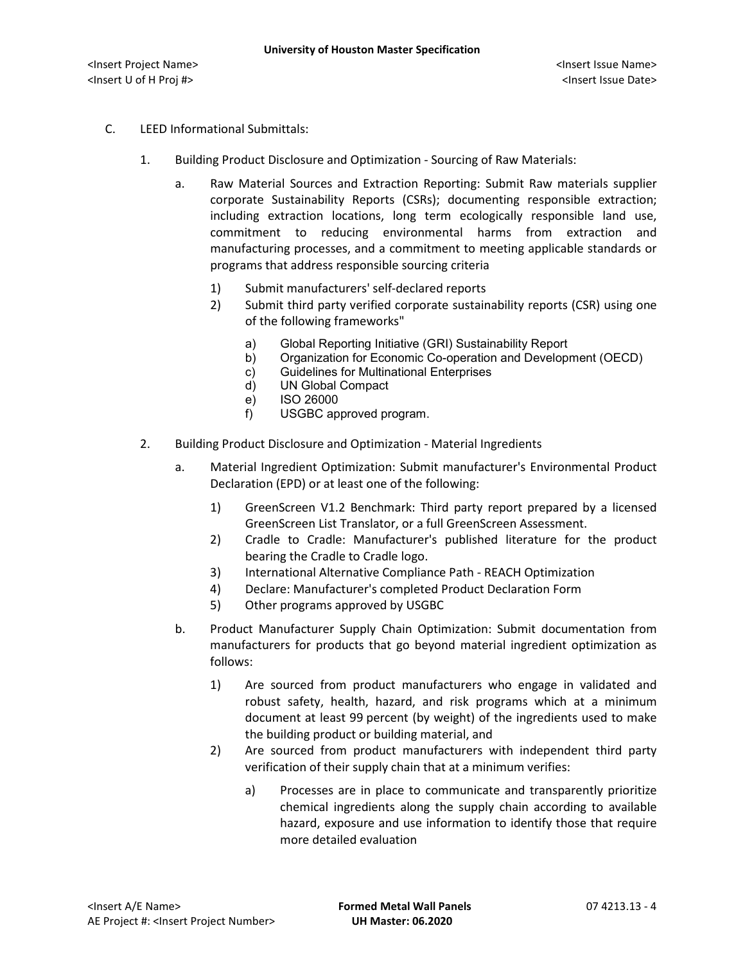- C. LEED Informational Submittals:
	- 1. Building Product Disclosure and Optimization Sourcing of Raw Materials:
		- a. Raw Material Sources and Extraction Reporting: Submit Raw materials supplier corporate Sustainability Reports (CSRs); documenting responsible extraction; including extraction locations, long term ecologically responsible land use, commitment to reducing environmental harms from extraction and manufacturing processes, and a commitment to meeting applicable standards or programs that address responsible sourcing criteria
			- 1) Submit manufacturers' self-declared reports
			- 2) Submit third party verified corporate sustainability reports (CSR) using one of the following frameworks"
				- a) Global Reporting Initiative (GRI) Sustainability Report
				- b) Organization for Economic Co-operation and Development (OECD)
				- c) Guidelines for Multinational Enterprises
				- d) UN Global Compact
				- e) ISO 26000
				- f) USGBC approved program.
	- 2. Building Product Disclosure and Optimization Material Ingredients
		- a. Material Ingredient Optimization: Submit manufacturer's Environmental Product Declaration (EPD) or at least one of the following:
			- 1) GreenScreen V1.2 Benchmark: Third party report prepared by a licensed GreenScreen List Translator, or a full GreenScreen Assessment.
			- 2) Cradle to Cradle: Manufacturer's published literature for the product bearing the Cradle to Cradle logo.
			- 3) International Alternative Compliance Path REACH Optimization
			- 4) Declare: Manufacturer's completed Product Declaration Form
			- 5) Other programs approved by USGBC
		- b. Product Manufacturer Supply Chain Optimization: Submit documentation from manufacturers for products that go beyond material ingredient optimization as follows:
			- 1) Are sourced from product manufacturers who engage in validated and robust safety, health, hazard, and risk programs which at a minimum document at least 99 percent (by weight) of the ingredients used to make the building product or building material, and
			- 2) Are sourced from product manufacturers with independent third party verification of their supply chain that at a minimum verifies:
				- a) Processes are in place to communicate and transparently prioritize chemical ingredients along the supply chain according to available hazard, exposure and use information to identify those that require more detailed evaluation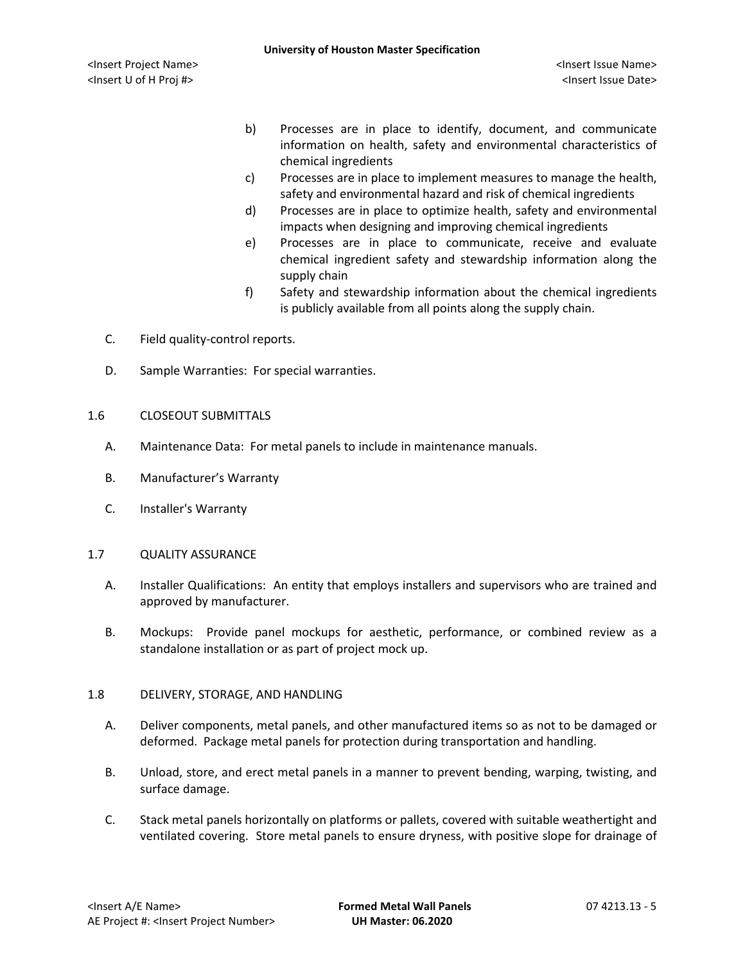- b) Processes are in place to identify, document, and communicate information on health, safety and environmental characteristics of chemical ingredients
- c) Processes are in place to implement measures to manage the health, safety and environmental hazard and risk of chemical ingredients
- d) Processes are in place to optimize health, safety and environmental impacts when designing and improving chemical ingredients
- e) Processes are in place to communicate, receive and evaluate chemical ingredient safety and stewardship information along the supply chain
- f) Safety and stewardship information about the chemical ingredients is publicly available from all points along the supply chain.
- C. Field quality-control reports.
- D. Sample Warranties: For special warranties.

#### 1.6 CLOSEOUT SUBMITTALS

- A. Maintenance Data: For metal panels to include in maintenance manuals.
- B. Manufacturer's Warranty
- C. Installer's Warranty

#### 1.7 QUALITY ASSURANCE

- A. Installer Qualifications: An entity that employs installers and supervisors who are trained and approved by manufacturer.
- B. Mockups: Provide panel mockups for aesthetic, performance, or combined review as a standalone installation or as part of project mock up.

#### 1.8 DELIVERY, STORAGE, AND HANDLING

- A. Deliver components, metal panels, and other manufactured items so as not to be damaged or deformed. Package metal panels for protection during transportation and handling.
- B. Unload, store, and erect metal panels in a manner to prevent bending, warping, twisting, and surface damage.
- C. Stack metal panels horizontally on platforms or pallets, covered with suitable weathertight and ventilated covering. Store metal panels to ensure dryness, with positive slope for drainage of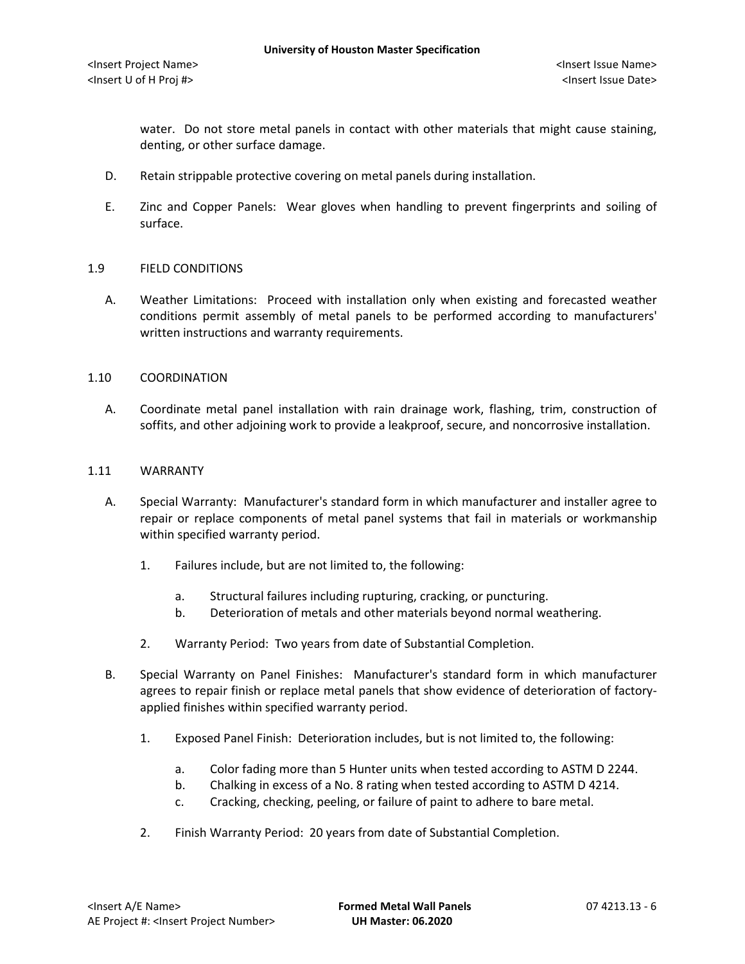water. Do not store metal panels in contact with other materials that might cause staining, denting, or other surface damage.

- D. Retain strippable protective covering on metal panels during installation.
- E. Zinc and Copper Panels: Wear gloves when handling to prevent fingerprints and soiling of surface.

#### 1.9 FIELD CONDITIONS

A. Weather Limitations: Proceed with installation only when existing and forecasted weather conditions permit assembly of metal panels to be performed according to manufacturers' written instructions and warranty requirements.

#### 1.10 COORDINATION

A. Coordinate metal panel installation with rain drainage work, flashing, trim, construction of soffits, and other adjoining work to provide a leakproof, secure, and noncorrosive installation.

#### 1.11 WARRANTY

- A. Special Warranty: Manufacturer's standard form in which manufacturer and installer agree to repair or replace components of metal panel systems that fail in materials or workmanship within specified warranty period.
	- 1. Failures include, but are not limited to, the following:
		- a. Structural failures including rupturing, cracking, or puncturing.
		- b. Deterioration of metals and other materials beyond normal weathering.
	- 2. Warranty Period: Two years from date of Substantial Completion.
- B. Special Warranty on Panel Finishes: Manufacturer's standard form in which manufacturer agrees to repair finish or replace metal panels that show evidence of deterioration of factoryapplied finishes within specified warranty period.
	- 1. Exposed Panel Finish: Deterioration includes, but is not limited to, the following:
		- a. Color fading more than 5 Hunter units when tested according to ASTM D 2244.
		- b. Chalking in excess of a No. 8 rating when tested according to ASTM D 4214.
		- c. Cracking, checking, peeling, or failure of paint to adhere to bare metal.
	- 2. Finish Warranty Period: 20 years from date of Substantial Completion.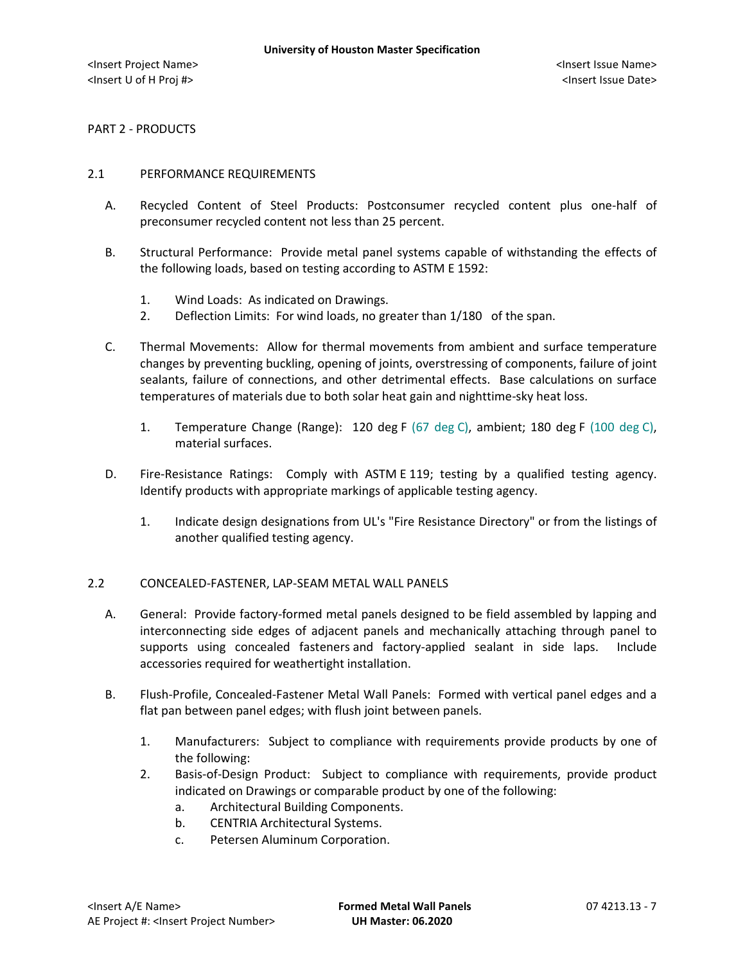PART 2 - PRODUCTS

#### 2.1 PERFORMANCE REQUIREMENTS

- A. Recycled Content of Steel Products: Postconsumer recycled content plus one-half of preconsumer recycled content not less than 25 percent.
- B. Structural Performance: Provide metal panel systems capable of withstanding the effects of the following loads, based on testing according to ASTM E 1592:
	- 1. Wind Loads: As indicated on Drawings.
	- 2. Deflection Limits: For wind loads, no greater than 1/180 of the span.
- C. Thermal Movements: Allow for thermal movements from ambient and surface temperature changes by preventing buckling, opening of joints, overstressing of components, failure of joint sealants, failure of connections, and other detrimental effects. Base calculations on surface temperatures of materials due to both solar heat gain and nighttime-sky heat loss.
	- 1. Temperature Change (Range): 120 deg F (67 deg C), ambient; 180 deg F (100 deg C), material surfaces.
- D. Fire-Resistance Ratings: Comply with ASTM E 119; testing by a qualified testing agency. Identify products with appropriate markings of applicable testing agency.
	- 1. Indicate design designations from UL's "Fire Resistance Directory" or from the listings of another qualified testing agency.

### 2.2 CONCEALED-FASTENER, LAP-SEAM METAL WALL PANELS

- A. General: Provide factory-formed metal panels designed to be field assembled by lapping and interconnecting side edges of adjacent panels and mechanically attaching through panel to supports using concealed fasteners and factory-applied sealant in side laps. Include accessories required for weathertight installation.
- B. Flush-Profile, Concealed-Fastener Metal Wall Panels: Formed with vertical panel edges and a flat pan between panel edges; with flush joint between panels.
	- 1. Manufacturers: Subject to compliance with requirements provide products by one of the following:
	- 2. [Basis-of-Design Product:](http://www.specagent.com/LookUp/?ulid=6938&mf=04&src=wd) Subject to compliance with requirements, provide product indicated on Drawings or comparable product by one of the following:
		- a. [Architectural Building Components.](http://www.specagent.com/LookUp/?uid=123456836905&mf=04&src=wd)
		- b. [CENTRIA Architectural Systems.](http://www.specagent.com/LookUp/?uid=123456836909&mf=04&src=wd)
		- c. [Petersen Aluminum Corporation.](http://www.specagent.com/LookUp/?uid=123456836916&mf=04&src=wd)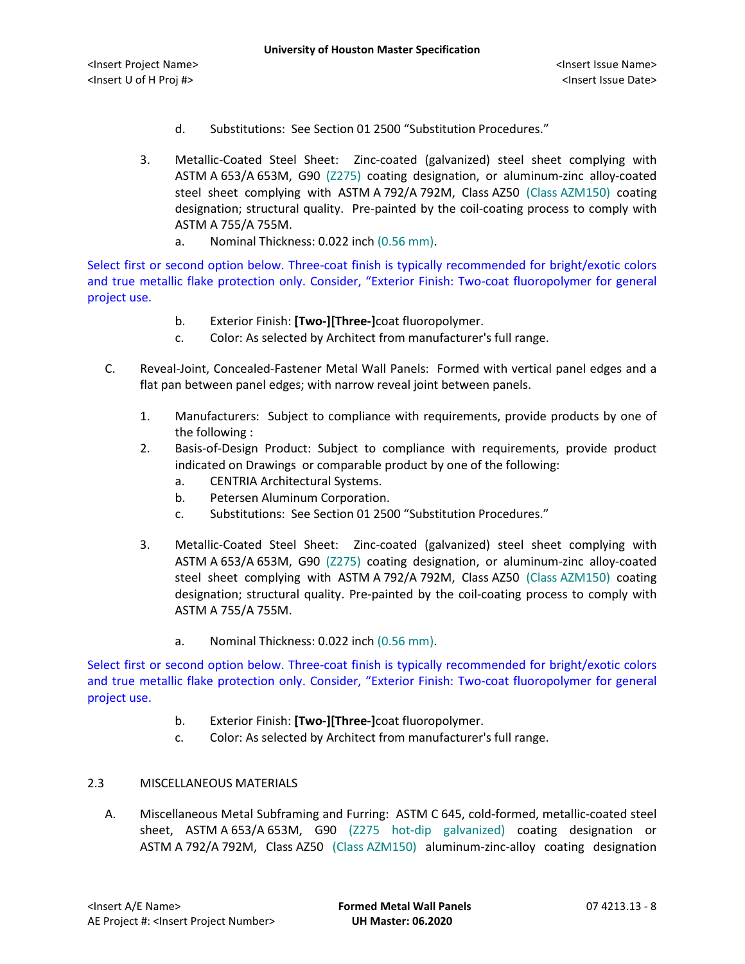- d. Substitutions: See Section 01 2500 "Substitution Procedures."
- 3. Metallic-Coated Steel Sheet: Zinc-coated (galvanized) steel sheet complying with ASTM A 653/A 653M, G90 (Z275) coating designation, or aluminum-zinc alloy-coated steel sheet complying with ASTM A 792/A 792M, Class AZ50 (Class AZM150) coating designation; structural quality. Pre-painted by the coil-coating process to comply with ASTM A 755/A 755M.
	- a. Nominal Thickness: 0.022 inch (0.56 mm).

Select first or second option below. Three-coat finish is typically recommended for bright/exotic colors and true metallic flake protection only. Consider, "Exterior Finish: Two-coat fluoropolymer for general project use.

- b. Exterior Finish: **[Two-][Three-]**coat fluoropolymer.
- c. Color: As selected by Architect from manufacturer's full range.
- C. Reveal-Joint, Concealed-Fastener Metal Wall Panels: Formed with vertical panel edges and a flat pan between panel edges; with narrow reveal joint between panels.
	- 1. Manufacturers: Subject to compliance with requirements, provide products by one of the following :
	- 2. [Basis-of-Design Product:](http://www.specagent.com/LookUp/?ulid=6939&mf=04&src=wd) Subject to compliance with requirements, provide product indicated on Drawings or comparable product by one of the following:
		- a. CENTRIA [Architectural Systems.](http://www.specagent.com/LookUp/?uid=123456836920&mf=04&src=wd)
		- b. [Petersen Aluminum Corporation.](http://www.specagent.com/LookUp/?uid=123456836923&mf=04&src=wd)
		- c. Substitutions: See Section 01 2500 "Substitution Procedures."
	- 3. Metallic-Coated Steel Sheet: Zinc-coated (galvanized) steel sheet complying with ASTM A 653/A 653M, G90 (Z275) coating designation, or aluminum-zinc alloy-coated steel sheet complying with ASTM A 792/A 792M, Class AZ50 (Class AZM150) coating designation; structural quality. Pre-painted by the coil-coating process to comply with ASTM A 755/A 755M.
		- a. Nominal Thickness: 0.022 inch (0.56 mm).

Select first or second option below. Three-coat finish is typically recommended for bright/exotic colors and true metallic flake protection only. Consider, "Exterior Finish: Two-coat fluoropolymer for general project use.

- b. Exterior Finish: **[Two-][Three-]**coat fluoropolymer.
- c. Color: As selected by Architect from manufacturer's full range.

# 2.3 MISCELLANEOUS MATERIALS

A. Miscellaneous Metal Subframing and Furring: ASTM C 645, cold-formed, metallic-coated steel sheet, ASTM A 653/A 653M, G90 (Z275 hot-dip galvanized) coating designation or ASTM A 792/A 792M, Class AZ50 (Class AZM150) aluminum-zinc-alloy coating designation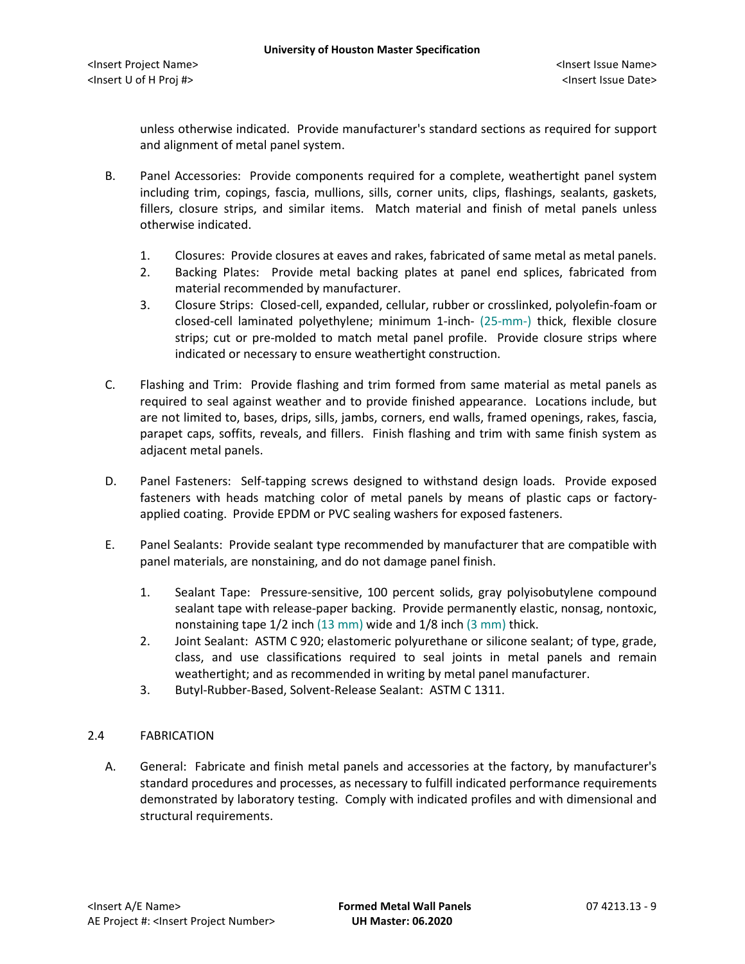unless otherwise indicated. Provide manufacturer's standard sections as required for support and alignment of metal panel system.

- B. Panel Accessories: Provide components required for a complete, weathertight panel system including trim, copings, fascia, mullions, sills, corner units, clips, flashings, sealants, gaskets, fillers, closure strips, and similar items. Match material and finish of metal panels unless otherwise indicated.
	- 1. Closures: Provide closures at eaves and rakes, fabricated of same metal as metal panels.
	- 2. Backing Plates: Provide metal backing plates at panel end splices, fabricated from material recommended by manufacturer.
	- 3. Closure Strips: Closed-cell, expanded, cellular, rubber or crosslinked, polyolefin-foam or closed-cell laminated polyethylene; minimum 1-inch- (25-mm-) thick, flexible closure strips; cut or pre-molded to match metal panel profile. Provide closure strips where indicated or necessary to ensure weathertight construction.
- C. Flashing and Trim: Provide flashing and trim formed from same material as metal panels as required to seal against weather and to provide finished appearance. Locations include, but are not limited to, bases, drips, sills, jambs, corners, end walls, framed openings, rakes, fascia, parapet caps, soffits, reveals, and fillers. Finish flashing and trim with same finish system as adjacent metal panels.
- D. Panel Fasteners: Self-tapping screws designed to withstand design loads. Provide exposed fasteners with heads matching color of metal panels by means of plastic caps or factoryapplied coating. Provide EPDM or PVC sealing washers for exposed fasteners.
- E. Panel Sealants: Provide sealant type recommended by manufacturer that are compatible with panel materials, are nonstaining, and do not damage panel finish.
	- 1. Sealant Tape: Pressure-sensitive, 100 percent solids, gray polyisobutylene compound sealant tape with release-paper backing. Provide permanently elastic, nonsag, nontoxic, nonstaining tape 1/2 inch (13 mm) wide and 1/8 inch (3 mm) thick.
	- 2. Joint Sealant: ASTM C 920; elastomeric polyurethane or silicone sealant; of type, grade, class, and use classifications required to seal joints in metal panels and remain weathertight; and as recommended in writing by metal panel manufacturer.
	- 3. Butyl-Rubber-Based, Solvent-Release Sealant: ASTM C 1311.

## 2.4 FABRICATION

A. General: Fabricate and finish metal panels and accessories at the factory, by manufacturer's standard procedures and processes, as necessary to fulfill indicated performance requirements demonstrated by laboratory testing. Comply with indicated profiles and with dimensional and structural requirements.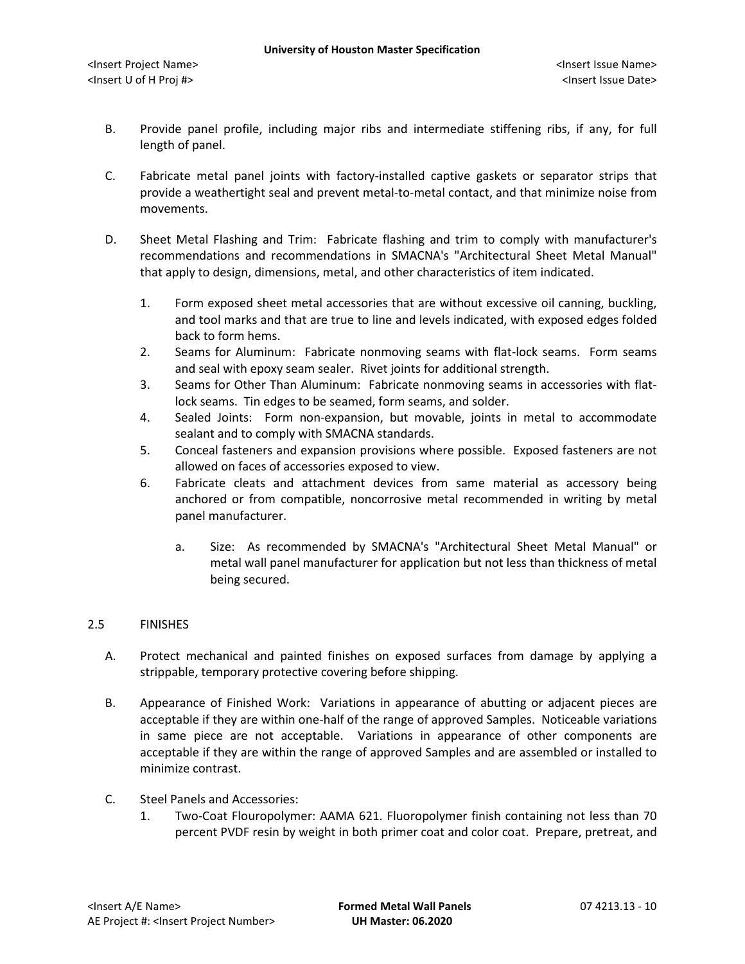- B. Provide panel profile, including major ribs and intermediate stiffening ribs, if any, for full length of panel.
- C. Fabricate metal panel joints with factory-installed captive gaskets or separator strips that provide a weathertight seal and prevent metal-to-metal contact, and that minimize noise from movements.
- D. Sheet Metal Flashing and Trim: Fabricate flashing and trim to comply with manufacturer's recommendations and recommendations in SMACNA's "Architectural Sheet Metal Manual" that apply to design, dimensions, metal, and other characteristics of item indicated.
	- 1. Form exposed sheet metal accessories that are without excessive oil canning, buckling, and tool marks and that are true to line and levels indicated, with exposed edges folded back to form hems.
	- 2. Seams for Aluminum: Fabricate nonmoving seams with flat-lock seams. Form seams and seal with epoxy seam sealer. Rivet joints for additional strength.
	- 3. Seams for Other Than Aluminum: Fabricate nonmoving seams in accessories with flatlock seams. Tin edges to be seamed, form seams, and solder.
	- 4. Sealed Joints: Form non-expansion, but movable, joints in metal to accommodate sealant and to comply with SMACNA standards.
	- 5. Conceal fasteners and expansion provisions where possible. Exposed fasteners are not allowed on faces of accessories exposed to view.
	- 6. Fabricate cleats and attachment devices from same material as accessory being anchored or from compatible, noncorrosive metal recommended in writing by metal panel manufacturer.
		- a. Size: As recommended by SMACNA's "Architectural Sheet Metal Manual" or metal wall panel manufacturer for application but not less than thickness of metal being secured.

## 2.5 FINISHES

- A. Protect mechanical and painted finishes on exposed surfaces from damage by applying a strippable, temporary protective covering before shipping.
- B. Appearance of Finished Work: Variations in appearance of abutting or adjacent pieces are acceptable if they are within one-half of the range of approved Samples. Noticeable variations in same piece are not acceptable. Variations in appearance of other components are acceptable if they are within the range of approved Samples and are assembled or installed to minimize contrast.
- C. Steel Panels and Accessories:
	- 1. Two-Coat Flouropolymer: AAMA 621. Fluoropolymer finish containing not less than 70 percent PVDF resin by weight in both primer coat and color coat. Prepare, pretreat, and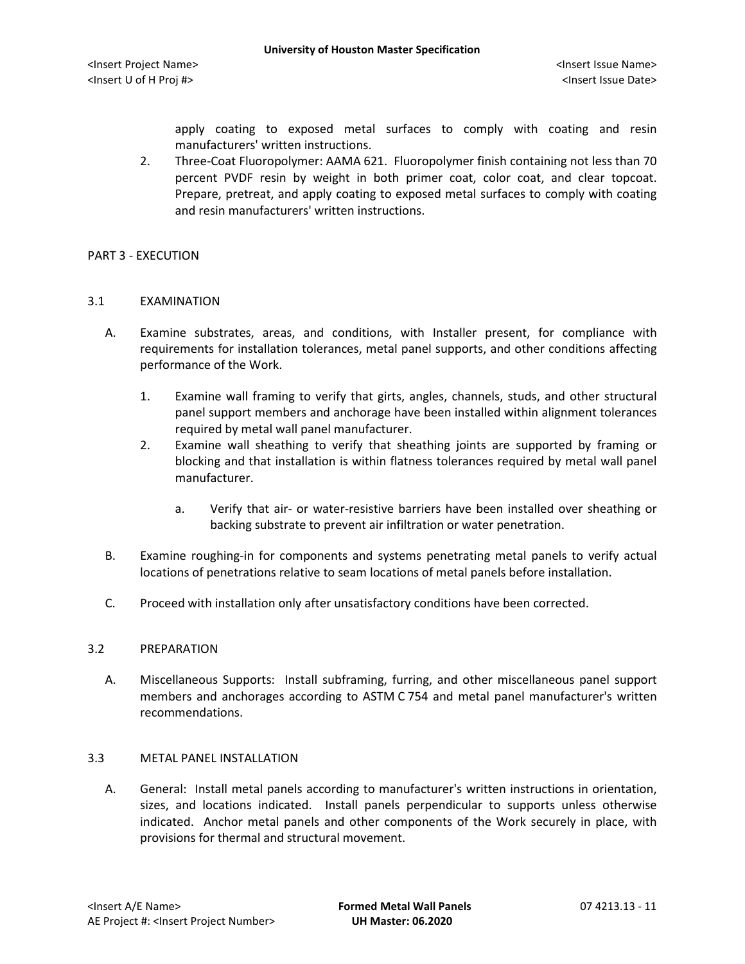apply coating to exposed metal surfaces to comply with coating and resin manufacturers' written instructions.

2. Three-Coat Fluoropolymer: AAMA 621. Fluoropolymer finish containing not less than 70 percent PVDF resin by weight in both primer coat, color coat, and clear topcoat. Prepare, pretreat, and apply coating to exposed metal surfaces to comply with coating and resin manufacturers' written instructions.

### PART 3 - EXECUTION

### 3.1 EXAMINATION

- A. Examine substrates, areas, and conditions, with Installer present, for compliance with requirements for installation tolerances, metal panel supports, and other conditions affecting performance of the Work.
	- 1. Examine wall framing to verify that girts, angles, channels, studs, and other structural panel support members and anchorage have been installed within alignment tolerances required by metal wall panel manufacturer.
	- 2. Examine wall sheathing to verify that sheathing joints are supported by framing or blocking and that installation is within flatness tolerances required by metal wall panel manufacturer.
		- a. Verify that air- or water-resistive barriers have been installed over sheathing or backing substrate to prevent air infiltration or water penetration.
- B. Examine roughing-in for components and systems penetrating metal panels to verify actual locations of penetrations relative to seam locations of metal panels before installation.
- C. Proceed with installation only after unsatisfactory conditions have been corrected.

#### 3.2 PREPARATION

A. Miscellaneous Supports: Install subframing, furring, and other miscellaneous panel support members and anchorages according to ASTM C 754 and metal panel manufacturer's written recommendations.

## 3.3 METAL PANEL INSTALLATION

A. General: Install metal panels according to manufacturer's written instructions in orientation, sizes, and locations indicated. Install panels perpendicular to supports unless otherwise indicated. Anchor metal panels and other components of the Work securely in place, with provisions for thermal and structural movement.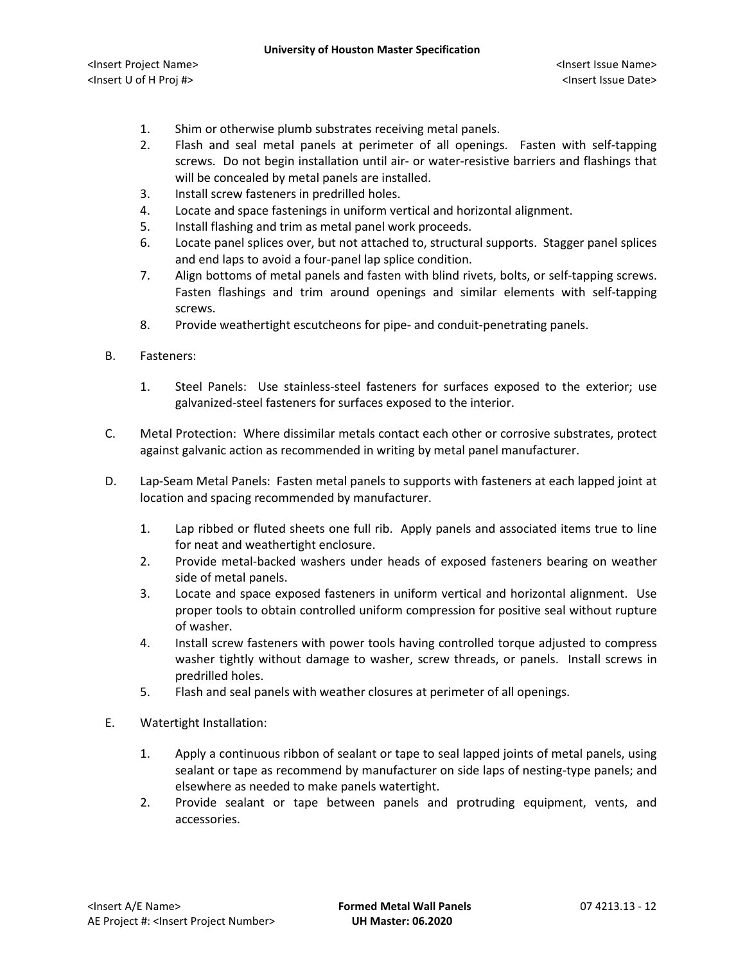- 1. Shim or otherwise plumb substrates receiving metal panels.
- 2. Flash and seal metal panels at perimeter of all openings. Fasten with self-tapping screws. Do not begin installation until air- or water-resistive barriers and flashings that will be concealed by metal panels are installed.
- 3. Install screw fasteners in predrilled holes.
- 4. Locate and space fastenings in uniform vertical and horizontal alignment.
- 5. Install flashing and trim as metal panel work proceeds.
- 6. Locate panel splices over, but not attached to, structural supports. Stagger panel splices and end laps to avoid a four-panel lap splice condition.
- 7. Align bottoms of metal panels and fasten with blind rivets, bolts, or self-tapping screws. Fasten flashings and trim around openings and similar elements with self-tapping screws.
- 8. Provide weathertight escutcheons for pipe- and conduit-penetrating panels.
- B. Fasteners:
	- 1. Steel Panels: Use stainless-steel fasteners for surfaces exposed to the exterior; use galvanized-steel fasteners for surfaces exposed to the interior.
- C. Metal Protection: Where dissimilar metals contact each other or corrosive substrates, protect against galvanic action as recommended in writing by metal panel manufacturer.
- D. Lap-Seam Metal Panels: Fasten metal panels to supports with fasteners at each lapped joint at location and spacing recommended by manufacturer.
	- 1. Lap ribbed or fluted sheets one full rib. Apply panels and associated items true to line for neat and weathertight enclosure.
	- 2. Provide metal-backed washers under heads of exposed fasteners bearing on weather side of metal panels.
	- 3. Locate and space exposed fasteners in uniform vertical and horizontal alignment. Use proper tools to obtain controlled uniform compression for positive seal without rupture of washer.
	- 4. Install screw fasteners with power tools having controlled torque adjusted to compress washer tightly without damage to washer, screw threads, or panels. Install screws in predrilled holes.
	- 5. Flash and seal panels with weather closures at perimeter of all openings.
- E. Watertight Installation:
	- 1. Apply a continuous ribbon of sealant or tape to seal lapped joints of metal panels, using sealant or tape as recommend by manufacturer on side laps of nesting-type panels; and elsewhere as needed to make panels watertight.
	- 2. Provide sealant or tape between panels and protruding equipment, vents, and accessories.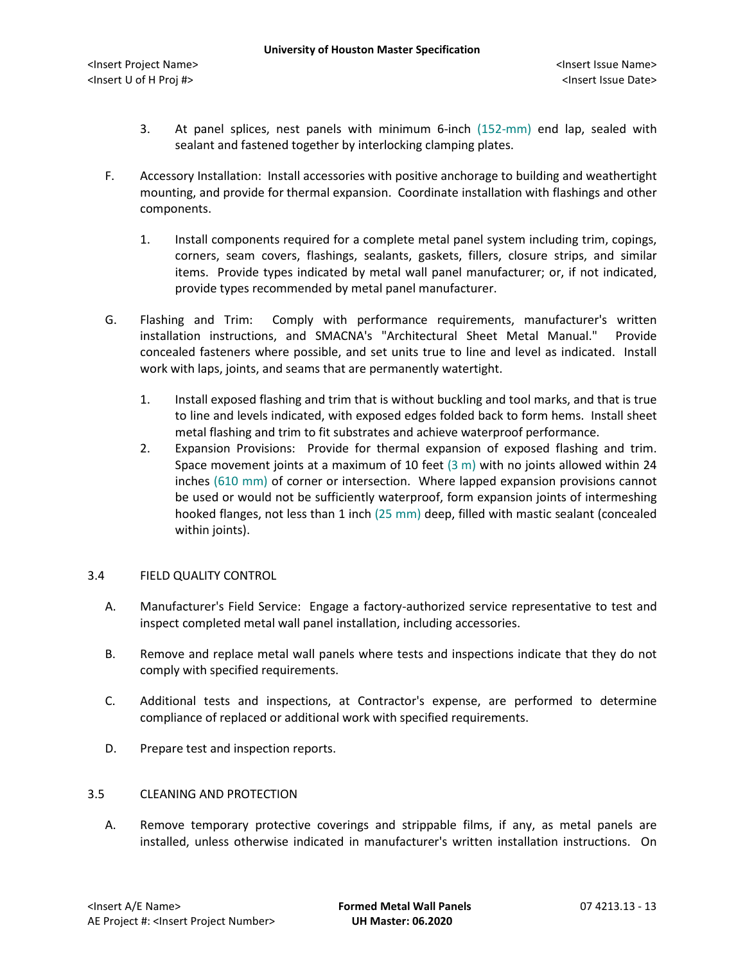- 3. At panel splices, nest panels with minimum 6-inch (152-mm) end lap, sealed with sealant and fastened together by interlocking clamping plates.
- F. Accessory Installation: Install accessories with positive anchorage to building and weathertight mounting, and provide for thermal expansion. Coordinate installation with flashings and other components.
	- 1. Install components required for a complete metal panel system including trim, copings, corners, seam covers, flashings, sealants, gaskets, fillers, closure strips, and similar items. Provide types indicated by metal wall panel manufacturer; or, if not indicated, provide types recommended by metal panel manufacturer.
- G. Flashing and Trim: Comply with performance requirements, manufacturer's written installation instructions, and SMACNA's "Architectural Sheet Metal Manual." Provide concealed fasteners where possible, and set units true to line and level as indicated. Install work with laps, joints, and seams that are permanently watertight.
	- 1. Install exposed flashing and trim that is without buckling and tool marks, and that is true to line and levels indicated, with exposed edges folded back to form hems. Install sheet metal flashing and trim to fit substrates and achieve waterproof performance.
	- 2. Expansion Provisions: Provide for thermal expansion of exposed flashing and trim. Space movement joints at a maximum of 10 feet  $(3 \text{ m})$  with no joints allowed within 24 inches (610 mm) of corner or intersection. Where lapped expansion provisions cannot be used or would not be sufficiently waterproof, form expansion joints of intermeshing hooked flanges, not less than 1 inch (25 mm) deep, filled with mastic sealant (concealed within joints).

## 3.4 FIELD QUALITY CONTROL

- A. Manufacturer's Field Service: Engage a factory-authorized service representative to test and inspect completed metal wall panel installation, including accessories.
- B. Remove and replace metal wall panels where tests and inspections indicate that they do not comply with specified requirements.
- C. Additional tests and inspections, at Contractor's expense, are performed to determine compliance of replaced or additional work with specified requirements.
- D. Prepare test and inspection reports.

## 3.5 CLEANING AND PROTECTION

A. Remove temporary protective coverings and strippable films, if any, as metal panels are installed, unless otherwise indicated in manufacturer's written installation instructions. On